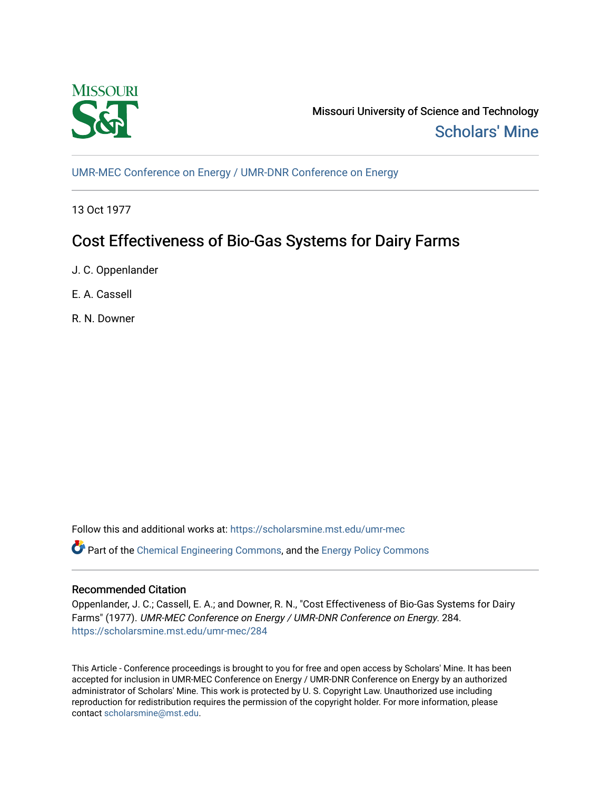

Missouri University of Science and Technology [Scholars' Mine](https://scholarsmine.mst.edu/) 

[UMR-MEC Conference on Energy / UMR-DNR Conference on Energy](https://scholarsmine.mst.edu/umr-mec)

13 Oct 1977

# Cost Effectiveness of Bio-Gas Systems for Dairy Farms

J. C. Oppenlander

E. A. Cassell

R. N. Downer

Follow this and additional works at: [https://scholarsmine.mst.edu/umr-mec](https://scholarsmine.mst.edu/umr-mec?utm_source=scholarsmine.mst.edu%2Fumr-mec%2F284&utm_medium=PDF&utm_campaign=PDFCoverPages) 

Part of the [Chemical Engineering Commons](http://network.bepress.com/hgg/discipline/240?utm_source=scholarsmine.mst.edu%2Fumr-mec%2F284&utm_medium=PDF&utm_campaign=PDFCoverPages), and the [Energy Policy Commons](http://network.bepress.com/hgg/discipline/1065?utm_source=scholarsmine.mst.edu%2Fumr-mec%2F284&utm_medium=PDF&utm_campaign=PDFCoverPages)

# Recommended Citation

Oppenlander, J. C.; Cassell, E. A.; and Downer, R. N., "Cost Effectiveness of Bio-Gas Systems for Dairy Farms" (1977). UMR-MEC Conference on Energy / UMR-DNR Conference on Energy. 284. [https://scholarsmine.mst.edu/umr-mec/284](https://scholarsmine.mst.edu/umr-mec/284?utm_source=scholarsmine.mst.edu%2Fumr-mec%2F284&utm_medium=PDF&utm_campaign=PDFCoverPages) 

This Article - Conference proceedings is brought to you for free and open access by Scholars' Mine. It has been accepted for inclusion in UMR-MEC Conference on Energy / UMR-DNR Conference on Energy by an authorized administrator of Scholars' Mine. This work is protected by U. S. Copyright Law. Unauthorized use including reproduction for redistribution requires the permission of the copyright holder. For more information, please contact [scholarsmine@mst.edu](mailto:scholarsmine@mst.edu).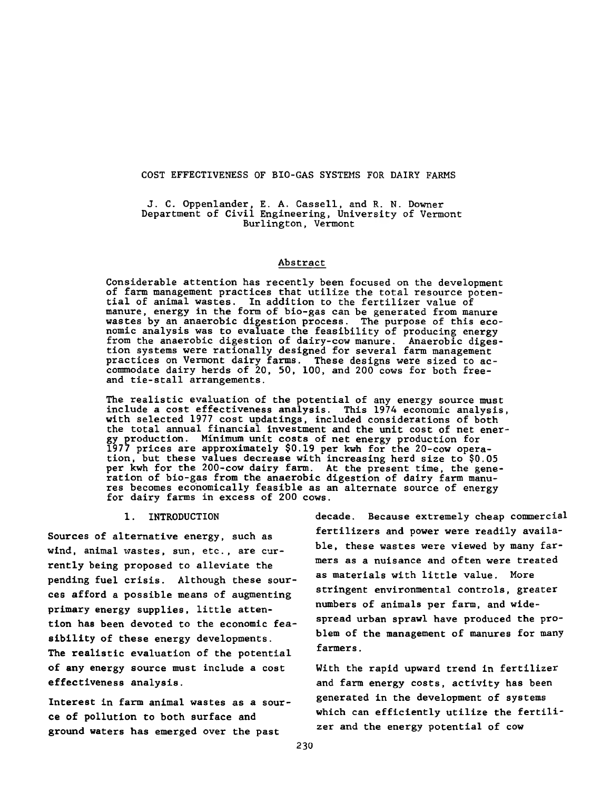COST EFFECTIVENESS OF BIO-GAS SYSTEMS FOR DAIRY FARMS

**J. C. Oppenlander, E. A. Cassell, and R. N. Downer Department of Civil Engineering, University of Vermont Burlington, Vermont**

#### **Abstract**

**Considerable attention has recently been focused on the development of farm management practices that utilize the total resource potential of animal wastes. In addition to the fertilizer value of manure, energy in the form of bio-gas can be generated from manure wastes by an anaerobic digestion process. The purpose of this economic analysis was to evaluate the feasibility of producing energy from the anaerobic digestion of dairy-cow manure. Anaerobic digestion systems were rationally designed for several farm management practices on Vermont dairy farms. These designs were sized to accommodate dairy herds of 20, 50, 100, and 200 cows for both freeand tie-stall arrangements.**

**The realistic evaluation of the potential of any energy source must include a cost effectiveness analysis. This 1974 economic analysis, with selected 1977 cost updatings, included considerations of both the total annual financial investment and the unit cost of net energy production. Minimum unit costs of net energy production for 1977 prices are approximately \$0.19 per kwh for the 20-cow operation, but these values decrease with increasing herd size to \$0.05 per kwh for the 200-cow dairy farm. At the present time, the generation of bio-gas from the anaerobic digestion of dairy farm manures becomes economically feasible as an alternate source of energy for dairy farms in excess of 200 cows.**

**1. INTRODUCTION**

**Sources of alternative energy, such as wind, animal wastes, sun, etc., are currently being proposed to alleviate the pending fuel crisis. Although these sources afford a possible means of augmenting primary energy supplies, little attention has been devoted to the economic feasibility of these energy developments. The realistic evaluation of the potential of any energy source must include a cost effectiveness analysis.**

**Interest in farm animal wastes as a source of pollution to both surface and ground waters has emerged over the past**

**decade. Because extremely cheap commercial fertilizers and power were readily available, these wastes were viewed by many farmers as a nuisance and often were treated as materials with little value. More stringent environmental controls, greater numbers of animals per farm, and widespread urban sprawl have produced the problem of the management of manures for many farmers.**

**With the rapid upward trend in fertilizer and farm energy costs, activity has been generated in the development of systems which can efficiently utilize the fertilizer and the energy potential of cow**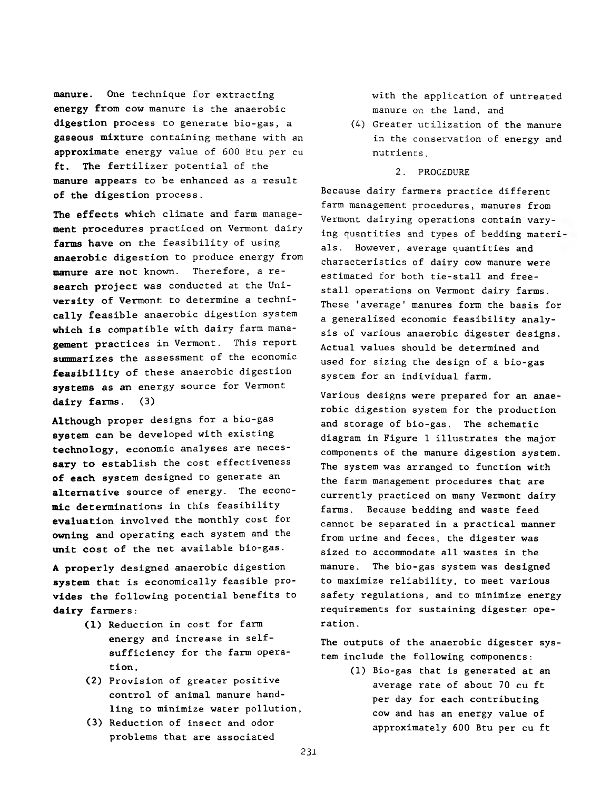**manure.** One technique for extracting **energy** from cow manure is the anaerobic **digestion** process to generate bio-gas, a **gaseous** mixture containing methane with an approximate energy value of 600 Btu per cu **ft. The** fertilizer potential of the **manure** appears to be enhanced as a result **of the** digestion process.

**The effects** which climate and farm manage**ment** procedures practiced on Vermont dairy **farms have** on the feasibility of using **anaerobic** digestion to produce energy from **manure are not** known. Therefore, a re**search project** was conducted at the Uni**versity of** Vermont to determine a techni**cally** feasible anaerobic digestion system **which is** compatible with dairy farm mana**gement** practices in Vermont. This report **summarizes** the assessment of the economic **feasibility** of these anaerobic digestion **systems as an** energy source for Vermont **dairy farms. (3)**

**Although** proper designs for a bio-gas **system can** be developed with existing **technology,** economic analyses are neces**sary to establish** the cost effectiveness **of each** system designed to generate an **alternative** source of energy. The econo**mic** determinations in this feasibility **evaluation** involved the monthly cost for **owning** and operating each system and the **unit cost** of the net available bio-gas.

**A properly** designed anaerobic digestion **system that** is economically feasible pro**vides the** following potential benefits to **dairy farmers:**

- (1) Reduction in cost for farm energy and increase in selfsufficiency for the farm operation ,
- (2) Provision of greater positive control of animal manure handling to minimize water pollution,
- (3) Reduction of insect and odor problems that are associated

with the application of untreated manure on the land, and

- (4) Greater utilization of the manure in the conservation of energy and nutrients.
	- 2. PROCEDURE

Because dairy farmers practice different farm management procedures, manures from Vermont dairying operations contain varying quantities and types of bedding materi als. However, average quantities and characteristics of dairy cow manure were estimated for both tie-stall and freestall operations on Vermont dairy farms. These 'average' manures form the basis for a generalized economic feasibility analysis of various anaerobic digester designs. Actual values should be determined and used for sizing the design of a bio-gas system for an individual farm.

Various designs were prepared for an anaerobic digestion system for the production and storage of bio-gas. The schematic diagram in Figure 1 illustrates the major components of the manure digestion system. The system was arranged to function with the farm management procedures that are currently practiced on many Vermont dairy farms. Because bedding and waste feed cannot be separated in a practical manner from urine and feces, the digester was sized to accommodate all wastes in the manure. The bio-gas system was designed to maximize reliability, to meet various safety regulations, and to minimize energy requirements for sustaining digester operation .

The outputs of the anaerobic digester system include the following components:

> (1) Bio-gas that is generated at an average rate of about 70 cu ft per day for each contributing cow and has an energy value of approximately 600 Btu per cu ft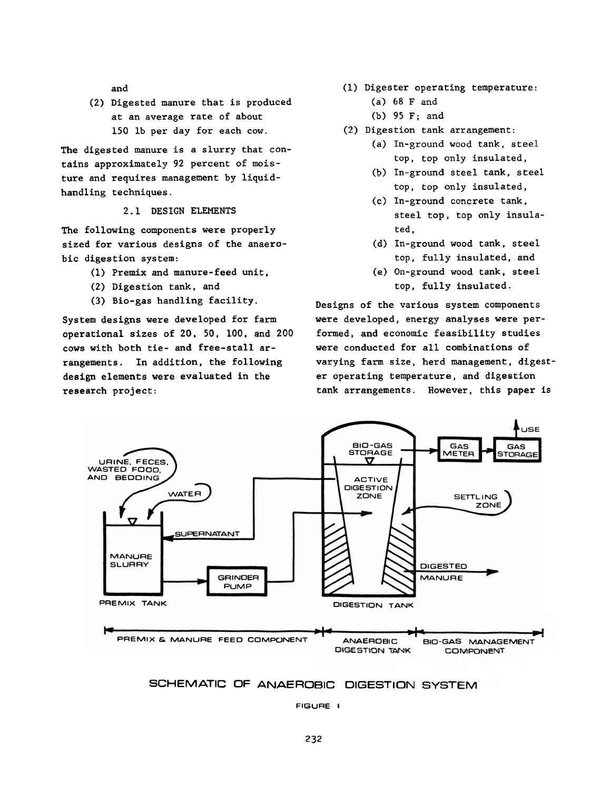and

(2) Digested manure that is produced at an average rate of about 150 lb per day for each cow.

The digested manure is a slurry that contains approximately 92 percent of moisture and requires management by liquidhandling techniques.

2.1 DESIGN ELEMENTS

The following components were properly sized for various designs of the anaerobic digestion system:

- (1) Premix and manure-feed unit,
- (2) Digestion tank, and
- (3) Bio-gas handling facility.

System designs were developed for farm operational sizes of 20, 50, 100, and 200 cows with both tie- and free-stall arrangements. In addition, the following design elements were evaluated in the research project:

- (1) Digester operating temperature:
	- (a) 68 F and
	- (b) 95 F; and
- (2) Digestion tank arrangement:
	- (a) In-ground wood tank, steel top, top only insulated,
	- (b) In-ground steel tank, steel top, top only insulated,
	- (c) In-ground concrete tank, steel top, top only insulated,
	- (d) In-ground wood tank, steel top, fully insulated, and
	- (e) On-ground wood tank, steel top, fully insulated.

Designs of the various system components were developed, energy analyses were performed, and economic feasibility studies were conducted for all combinations of varying farm size, herd management, digester operating temperature, and digestion tank arrangements. However, this paper is





FIGURE I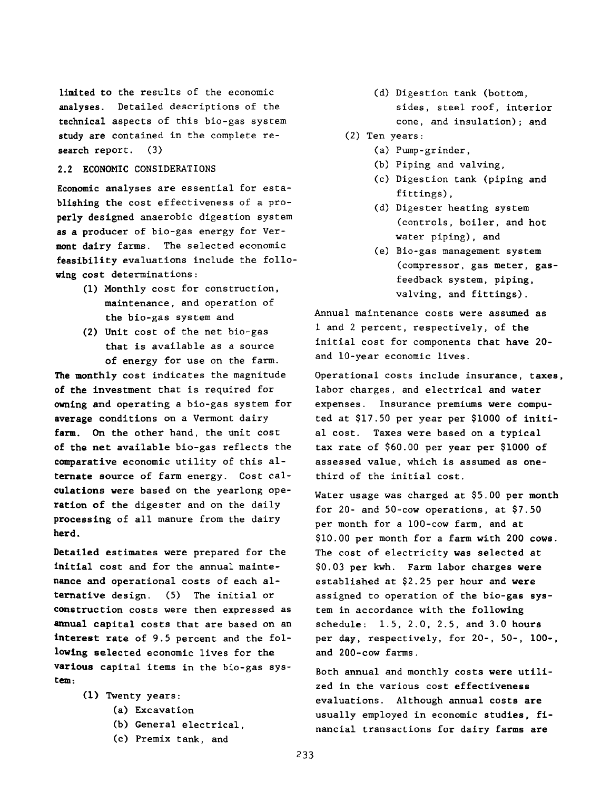limited to the results of the economic analyses. Detailed descriptions of the technical aspects of this bio-gas system study are contained in the complete research report. (3)

#### **2.2 ECONOMIC** CONSIDERATIONS

Economic analyses are essential for establishing the cost effectiveness of a properly designed anaerobic digestion system as a producer of bio-gas energy for Vermont dairy farms. The selected economic feasibility evaluations include the following cost determinations:

- (1) Monthly cost for construction, maintenance, and operation of the bio-gas system and
- (2) Unit cost of the net bio-gas that is available as a source of energy for use on the farm.

**The monthly** cost indicates the magnitude **of the** investment that is required for **owning and** operating a bio-gas system for **average** conditions on a Vermont dairy **farm. On** the other hand, the unit cost **of the net** available bio-gas reflects the **comparative** economic utility of this al**ternate source** of farm energy. Cost cal**culations** were based on the yearlong ope**ration** of the digester and on the daily **processing** of all manure from the dairy **herd.**

**Detailed** estimates were prepared for the **initial** cost and for the annual mainte**nance and** operational costs of each al**ternative** design. (5) The initial or **construction** costs were then expressed as **annual** capital costs that are based on an **interest rate** of 9.5 percent and the fol**lowing** selected economic lives for the **various** capital items in the bio-gas sys**tem\*.**

- (1) Twenty years:
	- (a) Excavation
	- (b) General electrical,
	- (c) Premix tank, and

(d) Digestion tank (bottom, sides, steel roof, interior cone, and insulation); and

# (2) Ten years:

- (a) Pump-grinder,
- (b) Piping and valving,
- (c) Digestion tank (piping and fittings),
- (d) Digester heating system (controls, boiler, and hot water piping), and
- (e) Bio-gas management system (compressor, gas meter, gasfeedback system, piping, valving, and fittings).

Annual maintenance costs were assumed as 1 and 2 percent, respectively, of the initial cost for components that have 20 and 10-year economic lives.

Operational costs include insurance, taxes, labor charges, and electrical and water expenses. Insurance premiums were computed at \$17.50 per year per \$1000 of initial cost. Taxes were based on a typical tax rate of \$60.00 per year per \$1000 of assessed value, which is assumed as onethird of the initial cost.

Water usage was charged at \$5.00 per month for 20- and 50-cow operations, at \$7.50 per month for a 100-cow farm, and at \$10.00 per month for a farm with 200 cows. The cost of electricity was selected at \$0.03 per kwh. Farm labor charges were established at \$2.25 per hour and were assigned to operation of the bio-gas system in accordance with the following schedule: 1.5, 2.0, 2.5, and 3.0 hours per day, respectively, for 20-, 50-, 100-, and 200-cow farms.

Both annual and monthly costs were utilized in the various cost effectiveness evaluations. Although annual costs are usually employed in economic studies, financial transactions for dairy farms are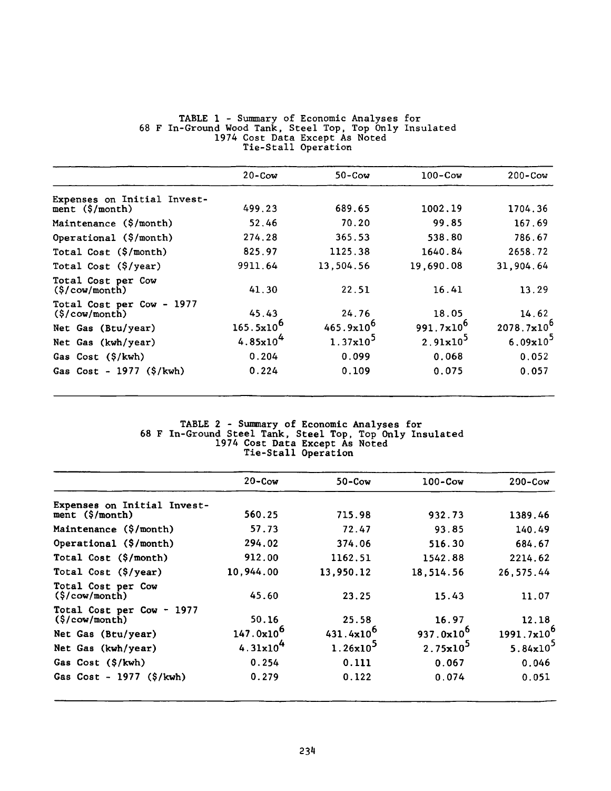|                                                             | $20 - \text{Cow}$    | $50 - \text{Cow}$ | $100 - \text{Cow}$    | $200 - \text{Cow}$     |
|-------------------------------------------------------------|----------------------|-------------------|-----------------------|------------------------|
| Expenses on Initial Invest-                                 |                      |                   |                       |                        |
| $ment$ (\$/month)                                           | 499.23               | 689.65            | 1002.19               | 1704.36                |
| Maintenance (\$/month)                                      | 52.46                | 70.20             | 99.85                 | 167.69                 |
| Operational (\$/month)                                      | 274.28               | 365.53            | 538.80                | 786.67                 |
| Total Cost (\$/month)                                       | 825.97               | 1125.38           | 1640.84               | 2658.72                |
| Total Cost (\$/year)                                        | 9911.64              | 13,504.56         | 19,690.08             | 31,904.64              |
| Total Cost per Cow<br>$(\frac{5}{\text{cow}}/\text{month})$ | 41.30                | 22.51             | 16.41                 | 13.29                  |
| Total Cost per Cow - 1977<br>$(\frac{\csc \pi}{\csc \pi})$  | 45.43                | 24.76             | 18.05                 | 14.62                  |
| Net Gas (Btu/year)                                          | $165.5x10^{6}$       | $465.9x10^{6}$    | 991.7x10 <sup>6</sup> | $2078.7 \times 10^{6}$ |
| Net Gas (kwh/year)                                          | 4.85x10 <sup>4</sup> | $1.37x10^5$       | $2.91x10^3$           | $6.09x10^3$            |
| Gas Cost (\$/kwh)                                           | 0.204                | 0.099             | 0.068                 | 0.052                  |
| Gas $Cost - 1977$ (\$/kwh)                                  | 0.224                | 0.109             | 0.075                 | 0.057                  |

### **TABLE 1 - Summary of Economic Analyses for 68 F In-Ground Wood Tank, Steel Top, Top Only Insulated 1974 Cost Data Except As Noted Tie-Stall Operation**

#### **TABLE 2 - Summary of Economic Analyses for 68 F In-Ground Steel Tank, Steel Top, Top Only Insulated 1974 Cost Data Except As Noted Tie-Stall Operation**

|                                                               | $20 - \text{Cow}$    | $50 - \text{Cow}$ | $100 - \text{Cow}$ | $200 - \text{Cow}$     |
|---------------------------------------------------------------|----------------------|-------------------|--------------------|------------------------|
| Expenses on Initial Invest-                                   |                      |                   |                    |                        |
| ment $(\frac{5}{\text{month}})$                               | 560.25               | 715.98            | 932.73             | 1389.46                |
| Maintenance (\$/month)                                        | 57.73                | 72.47             | 93.85              | 140.49                 |
| Operational (\$/month)                                        | 294.02               | 374.06            | 516.30             | 684.67                 |
| Total Cost (\$/month)                                         | 912.00               | 1162.51           | 1542.88            | 2214.62                |
| Total Cost (\$/year)                                          | 10,944.00            | 13,950.12         | 18,514.56          | 26, 575.44             |
| Total Cost per Cow<br>$(\frac{5}{\text{cow}}/\text{month})$   | 45.60                | 23.25             | 15.43              | 11.07                  |
| Total Cost per Cow - 1977<br>$(\frac{2}{3}/\text{cow/month})$ | 50.16                | 25.58             | 16.97              | 12.18                  |
| Net Gas (Btu/year)                                            | $147.0x10^{6}$       | $431.4x10^{6}$    | $937.0x10^{6}$     | 1991.7x10 <sup>6</sup> |
| Net Gas (kwh/year)                                            | 4.31x10 <sup>4</sup> | $1.26x10^3$       | $2.75x10^3$        | $5.84 \times 10^{3}$   |
| Gas Cost (\$/kwh)                                             | 0.254                | 0.111             | 0.067              | 0.046                  |
| Gas Cost - $1977$ (\$/kwh)                                    | 0.279                | 0.122             | 0.074              | 0.051                  |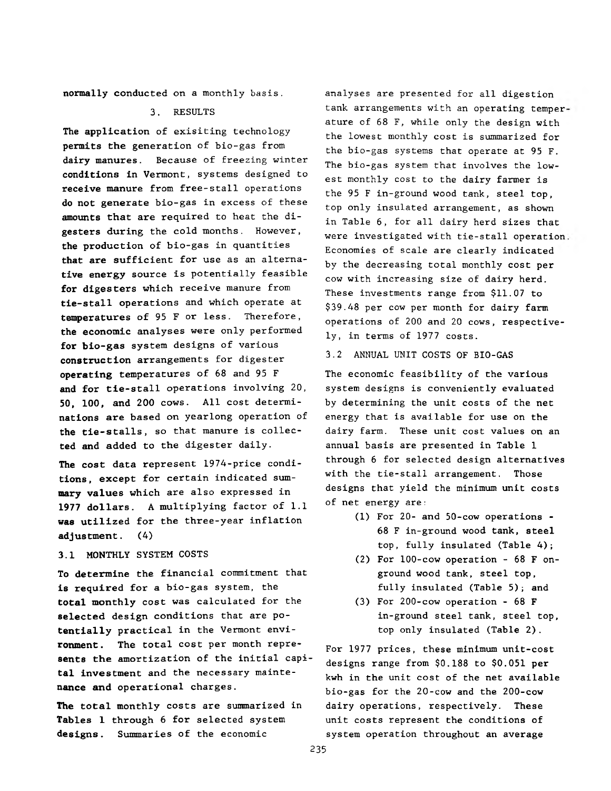**normally** conducted on a monthly basis.

#### 3. RESULTS

**The application** of exisiting technology **permits the** generation of bio-gas from **dairy manures.** Because of freezing winter **conditions in** Vermont, systems designed to **receive manure** from free-stall operations **do not generate** bio-gas in excess of these **amounts that** are required to heat the di**gesters during** the cold months. However, **the production** of bio-gas in quantities **that are sufficient** for use as an alterna**tive energy source** is potentially feasible **for digesters** which receive manure from **tie-stall operations** and which operate at **temperatures of** 95 F or less. Therefore, **the economic** analyses were only performed **for bio-gas system** designs of various **construction arrangements** for digester **operating temperatures** of 68 and 95 F **and for tie-stall** operations involving 20, **50, 100, and 200** cows. All cost determi**nations are based** on yearlong operation of **the tie-stalls,** so that manure is collec**ted and added to the** digester daily.

**The cost data** represent 1974-price condi**tions, except** for certain indicated sum**mary values** which are also expressed in **1977 dollars.** A multiplying factor of 1.1 **was utilized** for the three-year inflation **adjustment.** (4)

# **3.1 MONTHLY** SYSTEM COSTS

**To determine** the financial commitment that **is required for a** bio-gas system, the **total monthly** cost was calculated for the **selected design** conditions that are po**tentially practical in** the Vermont envi**ronment. The total** cost per month repre**sents the amortization** of the **initial** capi**tal investment and** the necessary mainte**nance and operational** charges.

**The total** monthly costs are summarized in **Tables** 1 through 6 for selected system **designs**. Summaries of the economic

analyses are presented for all digestion tank arrangements with an operating temper ature of 68 F, while only the design with the lowest monthly cost is summarized for the bio-gas systems that operate at 95 F. The bio-gas system that involves the lowest monthly cost to the dairy farmer is the 95 F in-ground wood tank, steel top, top only insulated arrangement, as shown in Table 6, for all dairy herd sizes that were investigated with tie-stall operation Economies of scale are clearly indicated by the decreasing total monthly cost per cow with increasing size of dairy herd. These investments range from \$11.07 to \$39.48 per cow per month for dairy farm operations of 200 and 20 cows, respectively, in terms of 1977 costs.

#### 3.2 ANNUAL UNIT COSTS OF BIO-GAS

The economic feasibility of the various system designs is conveniently evaluated by determining the unit costs of the net energy that is available for use on the dairy farm. These unit cost values on an annual basis are presented in Table 1 through 6 for selected design alternatives with the tie-stall arrangement. Those designs that yield the minimum unit costs of net energy are:

- (1) For 20- and 50-cow operations 68 F in-ground wood tank, steel top, fully insulated (Table 4);
- (2) For 100-cow operation 68 F onground wood tank, steel top, fully insulated (Table 5); and
- (3) For 200-cow operation 68 F in-ground steel tank, steel top, top only insulated (Table 2).

For 1977 prices, these minimum unit-cost designs range from \$0,188 to \$0,051 per kwh in the unit cost of the net available bio-gas for the 20-cow and the 200-cow dairy operations, respectively. These unit costs represent the conditions of system operation throughout an average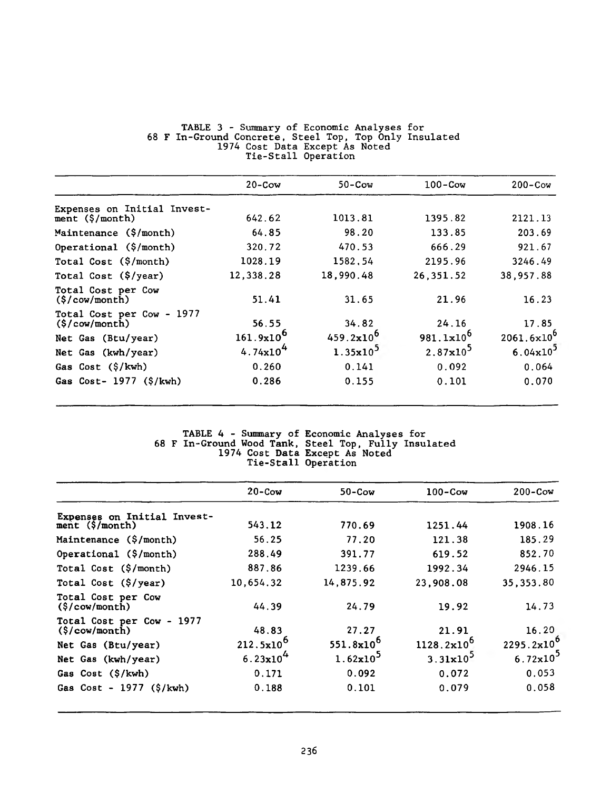|                                                     | $20 - \text{Cow}$    | $50 - \text{Cow}$ | $100 - \text{Cow}$   | $200 - \text{Cow}$     |
|-----------------------------------------------------|----------------------|-------------------|----------------------|------------------------|
| Expenses on Initial Invest-                         |                      |                   |                      |                        |
| ment $(\frac{5}{\text{month}})$                     | 642.62               | 1013.81           | 1395.82              | 2121.13                |
| Maintenance (\$/month)                              | 64.85                | 98.20             | 133.85               | 203.69                 |
| Operational (\$/month)                              | 320.72               | 470.53            | 666.29               | 921.67                 |
| Total Cost $(\frac{5}{\text{month}})$               | 1028.19              | 1582,54           | 2195.96              | 3246.49                |
| Total Cost (\$/year)                                | 12,338.28            | 18,990.48         | 26,351.52            | 38,957.88              |
| Total Cost per Cow<br>$(\frac{\xi}{\cosh n})$       | 51.41                | 31.65             | 21.96                | 16.23                  |
| Total Cost per Cow - 1977<br>$(\frac{\csc \pi}{2})$ | 56.55                | 34.82             | 24.16                | 17.85                  |
| Net Gas (Btu/year)                                  | $161.9x10^{6}$       | $459.2x10^{6}$    | $981.1x10^{6}$       | $2061.6 \times 10^{6}$ |
| Net Gas (kwh/year)                                  | 4.74x10 <sup>4</sup> | $1.35x10^5$       | $2.87 \times 10^{5}$ | $6.04 \times 10^{3}$   |
| Gas Cost (\$/kwh)                                   | 0.260                | 0.141             | 0.092                | 0.064                  |
| Gas $Cost-1977$ $(\frac{5}{kwh})$                   | 0.286                | 0.155             | 0.101                | 0.070                  |

#### **TABLE 3 - Summary of Economic Analyses for 68 F In-Ground Concrete, Steel Top, Top Only Insulated 1974 Cost Data Except As Noted Tie-Stall Operation**

#### **TABLE 4 - Summary of Economic Analyses 68 F In-Ground Wood Tank, Steel Top, Fully 1974 Cost Data Except As Noted Tie-Stall Operation for Insulated**

|                                                                | $20 - \text{Cow}$ | $50 - \text{Cow}$ | $100 - \text{Cow}$     | $200 - \text{Cow}$   |
|----------------------------------------------------------------|-------------------|-------------------|------------------------|----------------------|
| Expenses on Initial Invest-<br>ment $(\frac{5}{\text{month}})$ | 543.12            | 770.69            | 1251.44                | 1908.16              |
| Maintenance (\$/month)                                         | 56.25             | 77.20             | 121.38                 | 185.29               |
| Operational (\$/month)                                         | 288.49            | 391.77            | 619.52                 | 852.70               |
| Total Cost $(\frac{5}{\text{month}})$                          | 887.86            | 1239.66           | 1992.34                | 2946.15              |
| Total Cost (\$/year)                                           | 10,654.32         | 14,875.92         | 23,908.08              | 35, 353.80           |
| Total Cost per Cow<br>$(\frac{5}{\text{cow}}/\text{month})$    | 44.39             | 24.79             | 19.92                  | 14.73                |
| Total Cost per Cow - 1977<br>$(\frac{\csc \pi}{\csc \pi})$     | 48.83             | 27.27             | 21.91                  | 16.20                |
| Net Gas (Btu/year)                                             | $212.5x10^6$      | $551.8x10^{6}$    | $1128.2 \times 10^{6}$ | $2295.2x10^{6}$      |
| Net Gas (kwh/year)                                             | $6.23x10^{4}$     | $1.62x10^5$       | $3.31 \times 10^{5}$   | $6.72 \times 10^{3}$ |
| Gas Cost (\$/kwh)                                              | 0.171             | 0.092             | 0.072                  | 0.053                |
| Gas Cost - $1977$ (\$/kwh)                                     | 0.188             | 0.101             | 0.079                  | 0.058                |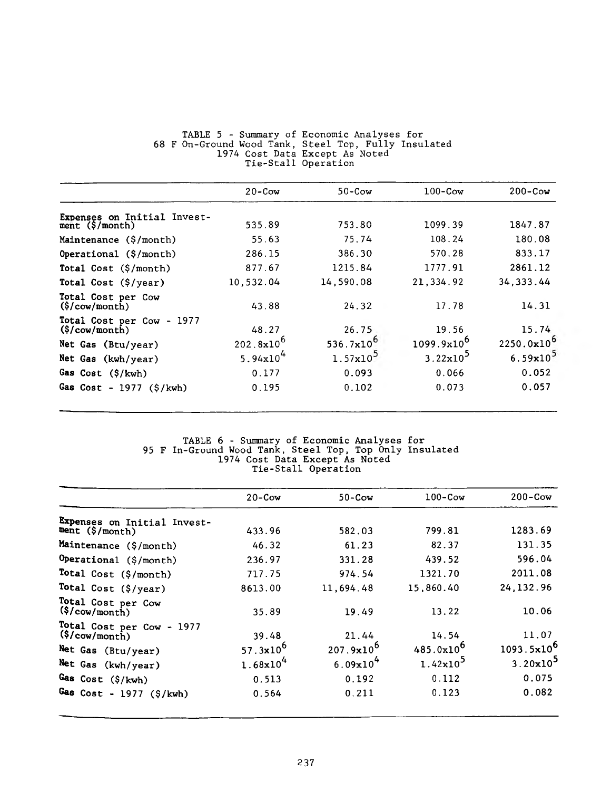|                                                                    | $20 - \text{Cow}$    | $50 - \text{Cow}$    | $100 - \text{Cow}$     | $200 - \text{Cow}$ |
|--------------------------------------------------------------------|----------------------|----------------------|------------------------|--------------------|
| Expenses on Initial Invest-<br>ment $(\frac{5}{\text{month}})$     | 535.89               | 753.80               | 1099.39                | 1847.87            |
| Maintenance (\$/month)                                             | 55.63                | 75.74                | 108.24                 | 180.08             |
| Operational $(\frac{5}{\text{month}})$                             | 286.15               | 386.30               | 570.28                 | 833.17             |
| Total Cost (\$/month)                                              | 877.67               | 1215.84              | 1777.91                | 2861.12            |
| Total Cost (\$/year)                                               | 10,532.04            | 14,590.08            | 21,334.92              | 34, 333.44         |
| Total Cost per Cow<br>$(\frac{5}{\text{cow}}/\text{month})$        | 43.88                | 24.32                | 17.78                  | 14.31              |
| Total Cost per Cow - 1977<br>$(\frac{5}{\text{cow}}/\text{month})$ | 48.27                | 26.75                | 19.56                  | 15.74              |
| Net Gas (Btu/year)                                                 | $202.8x10^{6}$       | 536.7 $x10^6$        | 1099.9x10 <sup>6</sup> | $2250.0x10^{6}$    |
| Net Gas (kwh/year)                                                 | 5.94x10 <sup>4</sup> | $1.57 \times 10^{5}$ | $3.22 \times 10^5$     | $6.59x10^3$        |
| Gas Cost (\$/kwh)                                                  | 0.177                | 0.093                | 0.066                  | 0.052              |
| Gas $Cost - 1977 (5/kwh)$                                          | 0.195                | 0.102                | 0.073                  | 0.057              |

#### TABLE 5 - Summary of Economic Analyses for 68 F On-Ground Wood Tank, Steel Top, Fully Insulated 1974 Cost Data Except As Noted Tie-Stall Operation

#### TABLE 6 - Summary of Economic Analyses for 95 F In-Ground Wood Tank, Steel Top, Top Only Insulated 1974 Cost Data Except As Noted Tie-Stall Operation

|                                                                    | $20 - \text{Cow}$    | $50 - \text{Cow}$     | $100 - \text{Cow}$   | $200 - \text{Cow}$     |
|--------------------------------------------------------------------|----------------------|-----------------------|----------------------|------------------------|
| Expenses on Initial Invest-<br>ment $(\frac{5}{\text{month}})$     | 433.96               | 582.03                | 799.81               | 1283.69                |
| Maintenance (\$/month)                                             | 46.32                | 61.23                 | 82.37                | 131.35                 |
|                                                                    |                      |                       |                      |                        |
| Operational (\$/month)                                             | 236.97               | 331.28                | 439.52               | 596.04                 |
| Total Cost (\$/month)                                              | 717.75               | 974.54                | 1321.70              | 2011.08                |
| Total Cost (\$/year)                                               | 8613.00              | 11,694.48             | 15,860.40            | 24, 132.96             |
| Total Cost per Cow<br>$(\frac{5}{\text{cow}}/\text{month})$        | 35.89                | 19.49                 | 13.22                | 10.06                  |
| Total Cost per Cow - 1977<br>$(\frac{5}{\text{cow}}/\text{month})$ | 39.48                | 21.44                 | 14.54                | 11.07                  |
| Net Gas (Btu/year)                                                 | 57.3 $x10^6$         | $207.9 \times 10^{6}$ | $485.0x10^{6}$       | 1093.5x10 <sup>6</sup> |
| Net Gas (kwh/year)                                                 | $1.68 \times 10^{4}$ | 6.09x10 <sup>4</sup>  | $1.42 \times 10^{5}$ | 3.20x10 <sup>5</sup>   |
| Gas Cost (\$/kwh)                                                  | 0.513                | 0.192                 | 0.112                | 0.075                  |
| Gas $Cost - 1977$ (\$/kwh)                                         | 0.564                | 0.211                 | 0.123                | 0.082                  |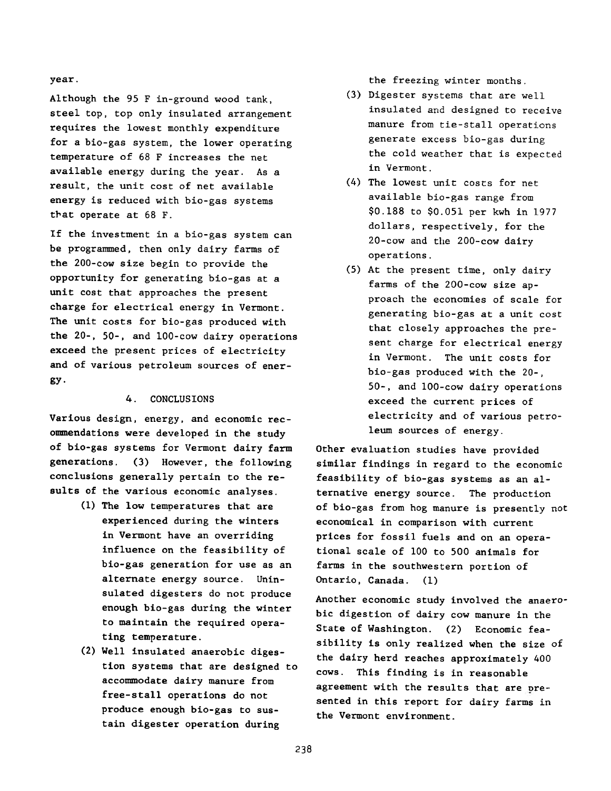#### **year.**

**Although the 95 F in-ground wood tank, steel top, top only insulated arrangement requires the lowest monthly expenditure for a bio-gas system, the lower operating temperature of 68 F increases the net available energy during the year. As a result, the unit cost of net available energy is reduced with bio-gas systems that operate at 68 F.**

**If the investment in a bio-gas system can be programmed, then only dairy farms of the 200-cow size begin to provide the opportunity for generating bio-gas at a unit cost that approaches the present charge for electrical energy in Vermont. The unit costs for bio-gas produced with the 20-, 50-, and 100-cow dairy operations exceed the present prices of electricity and of various petroleum sources of energy-**

### **4. CONCLUSIONS**

**Various design, energy, and economic recommendations were developed in the study of bio-gas systems for Vermont dairy farm generations. (3) However, the following conclusions generally pertain to the results of the various economic analyses.**

- **(1) The low temperatures that are experienced during the winters in Vermont have an overriding influence on the feasibility of bio-gas generation for use as an alternate energy source. Uninsulated digesters do not produce enough bio-gas during the winter to maintain the required operating temperature.**
- **(2) Well insulated anaerobic digestion systems that are designed to accommodate dairy manure from free-stall operations do not produce enough bio-gas to sustain digester operation during**

**the freezing winter months.**

- **(3) Digester systems that are well insulated and designed to receive manure from tie-stall operations generate excess bio-gas during the cold weather that is expected in Vermont.**
- **(4) The lowest unit costs for net available bio-gas range from \$0,188 to \$0,051 per kwh in 1977 dollars, respectively, for the 20-cow and the 200-cow dairy operations.**
- **(5) At the present time, only dairy farms of the 200-cow size approach the economies of scale for generating bio-gas at a unit cost that closely approaches the present charge for electrical energy in Vermont. The unit costs for bio-gas produced with the 20-, 50-, and 100-cow dairy operations exceed the current prices of electricity and of various petroleum sources of energy.**

**Other evaluation studies have provided similar findings in regard to the economic feasibility of bio-gas systems as an alternative energy source. The production of bio-gas from hog manure is presently not economical in comparison with current prices for fossil fuels and on an operational scale of 100 to 500 animals for farms in the southwestern portion of Ontario, Canada. (1)**

**Another economic study involved the anaerobic digestion of dairy cow manure in the State of Washington. (2) Economic feasibility is only realized when the size of the dairy herd reaches approximately 400 cows. This finding is in reasonable** agreement with the results that are pre**sented in this report for dairy farms in the Vermont environment.**